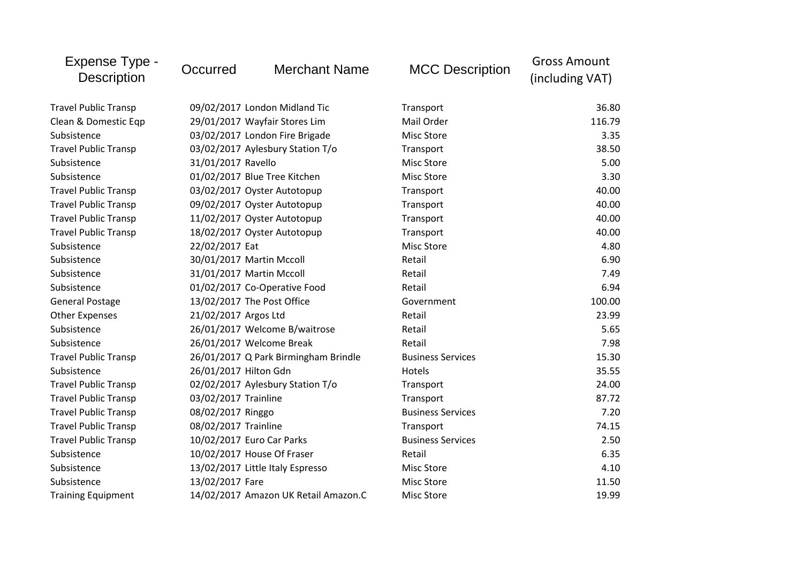| Expense Type -<br><b>Description</b> | Occurred                   | <b>Merchant Name</b>                 | <b>MCC Description</b>   | <b>Gross Amount</b><br>(including VAT) |
|--------------------------------------|----------------------------|--------------------------------------|--------------------------|----------------------------------------|
| <b>Travel Public Transp</b>          |                            | 09/02/2017 London Midland Tic        | Transport                | 36.80                                  |
| Clean & Domestic Eqp                 |                            | 29/01/2017 Wayfair Stores Lim        | Mail Order               | 116.79                                 |
| Subsistence                          |                            | 03/02/2017 London Fire Brigade       | <b>Misc Store</b>        | 3.35                                   |
| <b>Travel Public Transp</b>          |                            | 03/02/2017 Aylesbury Station T/o     | Transport                | 38.50                                  |
| Subsistence                          | 31/01/2017 Ravello         |                                      | Misc Store               | 5.00                                   |
| Subsistence                          |                            | 01/02/2017 Blue Tree Kitchen         | <b>Misc Store</b>        | 3.30                                   |
| <b>Travel Public Transp</b>          |                            | 03/02/2017 Oyster Autotopup          | Transport                | 40.00                                  |
| <b>Travel Public Transp</b>          |                            | 09/02/2017 Oyster Autotopup          | Transport                | 40.00                                  |
| <b>Travel Public Transp</b>          |                            | 11/02/2017 Oyster Autotopup          | Transport                | 40.00                                  |
| <b>Travel Public Transp</b>          |                            | 18/02/2017 Oyster Autotopup          | Transport                | 40.00                                  |
| Subsistence                          | 22/02/2017 Eat             |                                      | <b>Misc Store</b>        | 4.80                                   |
| Subsistence                          | 30/01/2017 Martin Mccoll   |                                      | Retail                   | 6.90                                   |
| Subsistence                          | 31/01/2017 Martin Mccoll   |                                      | Retail                   | 7.49                                   |
| Subsistence                          |                            | 01/02/2017 Co-Operative Food         | Retail                   | 6.94                                   |
| <b>General Postage</b>               | 13/02/2017 The Post Office |                                      | Government               | 100.00                                 |
| <b>Other Expenses</b>                | 21/02/2017 Argos Ltd       |                                      | Retail                   | 23.99                                  |
| Subsistence                          |                            | 26/01/2017 Welcome B/waitrose        | Retail                   | 5.65                                   |
| Subsistence                          | 26/01/2017 Welcome Break   |                                      | Retail                   | 7.98                                   |
| <b>Travel Public Transp</b>          |                            | 26/01/2017 Q Park Birmingham Brindle | <b>Business Services</b> | 15.30                                  |
| Subsistence                          | 26/01/2017 Hilton Gdn      |                                      | Hotels                   | 35.55                                  |
| <b>Travel Public Transp</b>          |                            | 02/02/2017 Aylesbury Station T/o     | Transport                | 24.00                                  |
| <b>Travel Public Transp</b>          | 03/02/2017 Trainline       |                                      | Transport                | 87.72                                  |
| <b>Travel Public Transp</b>          | 08/02/2017 Ringgo          |                                      | <b>Business Services</b> | 7.20                                   |
| <b>Travel Public Transp</b>          | 08/02/2017 Trainline       |                                      | Transport                | 74.15                                  |
| <b>Travel Public Transp</b>          | 10/02/2017 Euro Car Parks  |                                      | <b>Business Services</b> | 2.50                                   |
| Subsistence                          | 10/02/2017 House Of Fraser |                                      | Retail                   | 6.35                                   |
| Subsistence                          |                            | 13/02/2017 Little Italy Espresso     | <b>Misc Store</b>        | 4.10                                   |
| Subsistence                          | 13/02/2017 Fare            |                                      | <b>Misc Store</b>        | 11.50                                  |
| <b>Training Equipment</b>            |                            | 14/02/2017 Amazon UK Retail Amazon.C | <b>Misc Store</b>        | 19.99                                  |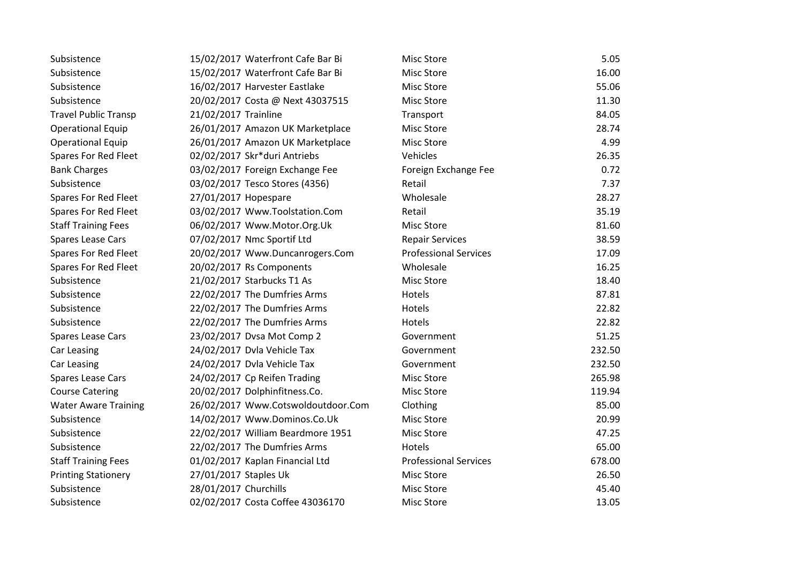| Subsistence                 | 15/02/2017 Waterfront Cafe Bar Bi  | <b>Misc Store</b>            | 5.05   |
|-----------------------------|------------------------------------|------------------------------|--------|
| Subsistence                 | 15/02/2017 Waterfront Cafe Bar Bi  | Misc Store                   | 16.00  |
| Subsistence                 | 16/02/2017 Harvester Eastlake      | <b>Misc Store</b>            | 55.06  |
| Subsistence                 | 20/02/2017 Costa @ Next 43037515   | <b>Misc Store</b>            | 11.30  |
| <b>Travel Public Transp</b> | 21/02/2017 Trainline               | Transport                    | 84.05  |
| <b>Operational Equip</b>    | 26/01/2017 Amazon UK Marketplace   | <b>Misc Store</b>            | 28.74  |
| <b>Operational Equip</b>    | 26/01/2017 Amazon UK Marketplace   | <b>Misc Store</b>            | 4.99   |
| Spares For Red Fleet        | 02/02/2017 Skr*duri Antriebs       | Vehicles                     | 26.35  |
| <b>Bank Charges</b>         | 03/02/2017 Foreign Exchange Fee    | Foreign Exchange Fee         | 0.72   |
| Subsistence                 | 03/02/2017 Tesco Stores (4356)     | Retail                       | 7.37   |
| Spares For Red Fleet        | 27/01/2017 Hopespare               | Wholesale                    | 28.27  |
| Spares For Red Fleet        | 03/02/2017 Www.Toolstation.Com     | Retail                       | 35.19  |
| <b>Staff Training Fees</b>  | 06/02/2017 Www.Motor.Org.Uk        | <b>Misc Store</b>            | 81.60  |
| <b>Spares Lease Cars</b>    | 07/02/2017 Nmc Sportif Ltd         | <b>Repair Services</b>       | 38.59  |
| Spares For Red Fleet        | 20/02/2017 Www.Duncanrogers.Com    | <b>Professional Services</b> | 17.09  |
| Spares For Red Fleet        | 20/02/2017 Rs Components           | Wholesale                    | 16.25  |
| Subsistence                 | 21/02/2017 Starbucks T1 As         | <b>Misc Store</b>            | 18.40  |
| Subsistence                 | 22/02/2017 The Dumfries Arms       | Hotels                       | 87.81  |
| Subsistence                 | 22/02/2017 The Dumfries Arms       | Hotels                       | 22.82  |
| Subsistence                 | 22/02/2017 The Dumfries Arms       | Hotels                       | 22.82  |
| Spares Lease Cars           | 23/02/2017 Dvsa Mot Comp 2         | Government                   | 51.25  |
| Car Leasing                 | 24/02/2017 Dvla Vehicle Tax        | Government                   | 232.50 |
| Car Leasing                 | 24/02/2017 Dvla Vehicle Tax        | Government                   | 232.50 |
| <b>Spares Lease Cars</b>    | 24/02/2017 Cp Reifen Trading       | <b>Misc Store</b>            | 265.98 |
| <b>Course Catering</b>      | 20/02/2017 Dolphinfitness.Co.      | <b>Misc Store</b>            | 119.94 |
| <b>Water Aware Training</b> | 26/02/2017 Www.Cotswoldoutdoor.Com | Clothing                     | 85.00  |
| Subsistence                 | 14/02/2017 Www.Dominos.Co.Uk       | <b>Misc Store</b>            | 20.99  |
| Subsistence                 | 22/02/2017 William Beardmore 1951  | <b>Misc Store</b>            | 47.25  |
| Subsistence                 | 22/02/2017 The Dumfries Arms       | Hotels                       | 65.00  |
| <b>Staff Training Fees</b>  | 01/02/2017 Kaplan Financial Ltd    | <b>Professional Services</b> | 678.00 |
| <b>Printing Stationery</b>  | 27/01/2017 Staples Uk              | <b>Misc Store</b>            | 26.50  |
| Subsistence                 | 28/01/2017 Churchills              | <b>Misc Store</b>            | 45.40  |
| Subsistence                 | 02/02/2017 Costa Coffee 43036170   | <b>Misc Store</b>            | 13.05  |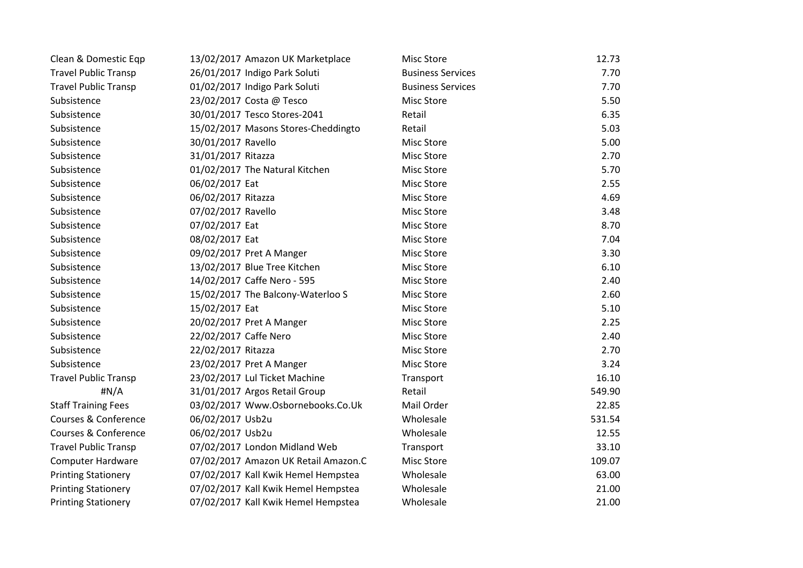| Clean & Domestic Eqp        | 13/02/2017 Amazon UK Marketplace     | <b>Misc Store</b>        | 12.73  |
|-----------------------------|--------------------------------------|--------------------------|--------|
| <b>Travel Public Transp</b> | 26/01/2017 Indigo Park Soluti        | <b>Business Services</b> | 7.70   |
| <b>Travel Public Transp</b> | 01/02/2017 Indigo Park Soluti        | <b>Business Services</b> | 7.70   |
| Subsistence                 | 23/02/2017 Costa @ Tesco             | <b>Misc Store</b>        | 5.50   |
| Subsistence                 | 30/01/2017 Tesco Stores-2041         | Retail                   | 6.35   |
| Subsistence                 | 15/02/2017 Masons Stores-Cheddingto  | Retail                   | 5.03   |
| Subsistence                 | 30/01/2017 Ravello                   | <b>Misc Store</b>        | 5.00   |
| Subsistence                 | 31/01/2017 Ritazza                   | <b>Misc Store</b>        | 2.70   |
| Subsistence                 | 01/02/2017 The Natural Kitchen       | <b>Misc Store</b>        | 5.70   |
| Subsistence                 | 06/02/2017 Eat                       | Misc Store               | 2.55   |
| Subsistence                 | 06/02/2017 Ritazza                   | <b>Misc Store</b>        | 4.69   |
| Subsistence                 | 07/02/2017 Ravello                   | <b>Misc Store</b>        | 3.48   |
| Subsistence                 | 07/02/2017 Eat                       | <b>Misc Store</b>        | 8.70   |
| Subsistence                 | 08/02/2017 Eat                       | Misc Store               | 7.04   |
| Subsistence                 | 09/02/2017 Pret A Manger             | Misc Store               | 3.30   |
| Subsistence                 | 13/02/2017 Blue Tree Kitchen         | <b>Misc Store</b>        | 6.10   |
| Subsistence                 | 14/02/2017 Caffe Nero - 595          | <b>Misc Store</b>        | 2.40   |
| Subsistence                 | 15/02/2017 The Balcony-Waterloo S    | <b>Misc Store</b>        | 2.60   |
| Subsistence                 | 15/02/2017 Eat                       | <b>Misc Store</b>        | 5.10   |
| Subsistence                 | 20/02/2017 Pret A Manger             | <b>Misc Store</b>        | 2.25   |
| Subsistence                 | 22/02/2017 Caffe Nero                | <b>Misc Store</b>        | 2.40   |
| Subsistence                 | 22/02/2017 Ritazza                   | <b>Misc Store</b>        | 2.70   |
| Subsistence                 | 23/02/2017 Pret A Manger             | <b>Misc Store</b>        | 3.24   |
| <b>Travel Public Transp</b> | 23/02/2017 Lul Ticket Machine        | Transport                | 16.10  |
| #N/A                        | 31/01/2017 Argos Retail Group        | Retail                   | 549.90 |
| <b>Staff Training Fees</b>  | 03/02/2017 Www.Osbornebooks.Co.Uk    | Mail Order               | 22.85  |
| Courses & Conference        | 06/02/2017 Usb2u                     | Wholesale                | 531.54 |
| Courses & Conference        | 06/02/2017 Usb2u                     | Wholesale                | 12.55  |
| <b>Travel Public Transp</b> | 07/02/2017 London Midland Web        | Transport                | 33.10  |
| <b>Computer Hardware</b>    | 07/02/2017 Amazon UK Retail Amazon.C | <b>Misc Store</b>        | 109.07 |
| <b>Printing Stationery</b>  | 07/02/2017 Kall Kwik Hemel Hempstea  | Wholesale                | 63.00  |
| <b>Printing Stationery</b>  | 07/02/2017 Kall Kwik Hemel Hempstea  | Wholesale                | 21.00  |
| <b>Printing Stationery</b>  | 07/02/2017 Kall Kwik Hemel Hempstea  | Wholesale                | 21.00  |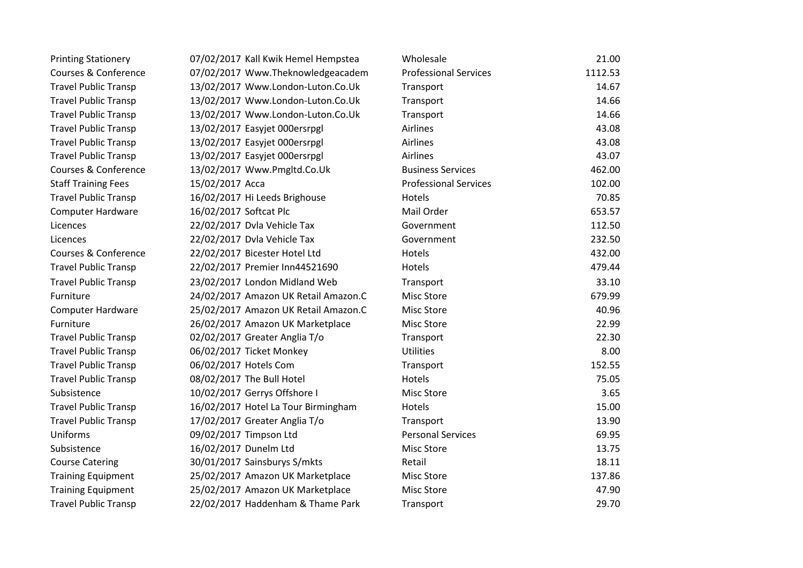| <b>Printing Stationery</b>      | 07/02/2017 Kall Kwik Hemel Hempstea  | Wholesale                    | 21.00   |
|---------------------------------|--------------------------------------|------------------------------|---------|
| <b>Courses &amp; Conference</b> | 07/02/2017 Www.Theknowledgeacadem    | <b>Professional Services</b> | 1112.53 |
| <b>Travel Public Transp</b>     | 13/02/2017 Www.London-Luton.Co.Uk    | Transport                    | 14.67   |
| <b>Travel Public Transp</b>     | 13/02/2017 Www.London-Luton.Co.Uk    | Transport                    | 14.66   |
| <b>Travel Public Transp</b>     | 13/02/2017 Www.London-Luton.Co.Uk    | Transport                    | 14.66   |
| <b>Travel Public Transp</b>     | 13/02/2017 Easyjet 000ersrpgl        | Airlines                     | 43.08   |
| <b>Travel Public Transp</b>     | 13/02/2017 Easyjet 000ersrpgl        | Airlines                     | 43.08   |
| <b>Travel Public Transp</b>     | 13/02/2017 Easyjet 000ersrpgl        | Airlines                     | 43.07   |
| <b>Courses &amp; Conference</b> | 13/02/2017 Www.Pmgltd.Co.Uk          | <b>Business Services</b>     | 462.00  |
| <b>Staff Training Fees</b>      | 15/02/2017 Acca                      | <b>Professional Services</b> | 102.00  |
| <b>Travel Public Transp</b>     | 16/02/2017 Hi Leeds Brighouse        | Hotels                       | 70.85   |
| <b>Computer Hardware</b>        | 16/02/2017 Softcat Plc               | Mail Order                   | 653.57  |
| Licences                        | 22/02/2017 Dvla Vehicle Tax          | Government                   | 112.50  |
| Licences                        | 22/02/2017 Dvla Vehicle Tax          | Government                   | 232.50  |
| Courses & Conference            | 22/02/2017 Bicester Hotel Ltd        | Hotels                       | 432.00  |
| <b>Travel Public Transp</b>     | 22/02/2017 Premier Inn44521690       | Hotels                       | 479.44  |
| <b>Travel Public Transp</b>     | 23/02/2017 London Midland Web        | Transport                    | 33.10   |
| Furniture                       | 24/02/2017 Amazon UK Retail Amazon.C | <b>Misc Store</b>            | 679.99  |
| <b>Computer Hardware</b>        | 25/02/2017 Amazon UK Retail Amazon.C | <b>Misc Store</b>            | 40.96   |
| Furniture                       | 26/02/2017 Amazon UK Marketplace     | Misc Store                   | 22.99   |
| <b>Travel Public Transp</b>     | 02/02/2017 Greater Anglia T/o        | Transport                    | 22.30   |
| <b>Travel Public Transp</b>     | 06/02/2017 Ticket Monkey             | <b>Utilities</b>             | 8.00    |
| <b>Travel Public Transp</b>     | 06/02/2017 Hotels Com                | Transport                    | 152.55  |
| <b>Travel Public Transp</b>     | 08/02/2017 The Bull Hotel            | Hotels                       | 75.05   |
| Subsistence                     | 10/02/2017 Gerrys Offshore I         | Misc Store                   | 3.65    |
| <b>Travel Public Transp</b>     | 16/02/2017 Hotel La Tour Birmingham  | Hotels                       | 15.00   |
| <b>Travel Public Transp</b>     | 17/02/2017 Greater Anglia T/o        | Transport                    | 13.90   |
| Uniforms                        | 09/02/2017 Timpson Ltd               | <b>Personal Services</b>     | 69.95   |
| Subsistence                     | 16/02/2017 Dunelm Ltd                | <b>Misc Store</b>            | 13.75   |
| <b>Course Catering</b>          | 30/01/2017 Sainsburys S/mkts         | Retail                       | 18.11   |
| <b>Training Equipment</b>       | 25/02/2017 Amazon UK Marketplace     | <b>Misc Store</b>            | 137.86  |
| <b>Training Equipment</b>       | 25/02/2017 Amazon UK Marketplace     | Misc Store                   | 47.90   |
| <b>Travel Public Transp</b>     | 22/02/2017 Haddenham & Thame Park    | Transport                    | 29.70   |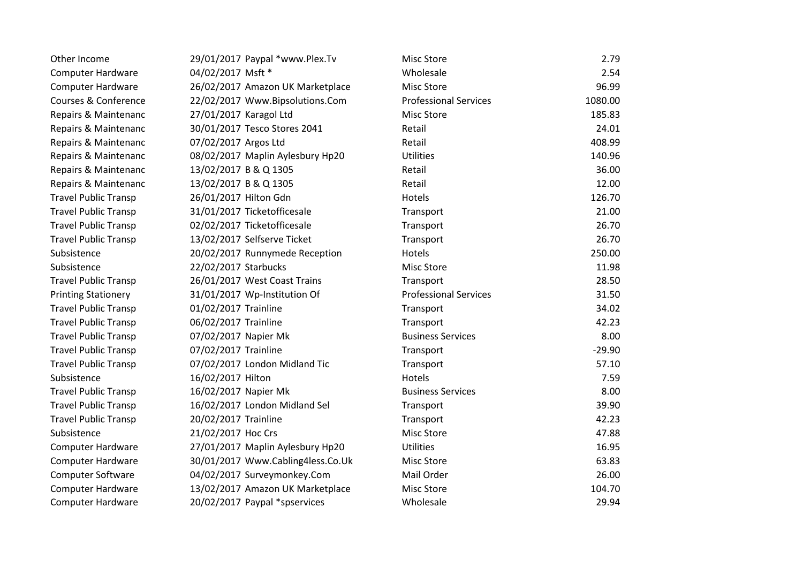|                                   | 2.79                                                                                                                                                                                                                                                                                                                                                                                                                                                                                                                                       |
|-----------------------------------|--------------------------------------------------------------------------------------------------------------------------------------------------------------------------------------------------------------------------------------------------------------------------------------------------------------------------------------------------------------------------------------------------------------------------------------------------------------------------------------------------------------------------------------------|
| 04/02/2017 Msft *                 | 2.54                                                                                                                                                                                                                                                                                                                                                                                                                                                                                                                                       |
| 26/02/2017 Amazon UK Marketplace  | 96.99                                                                                                                                                                                                                                                                                                                                                                                                                                                                                                                                      |
| 22/02/2017 Www.Bipsolutions.Com   | 1080.00                                                                                                                                                                                                                                                                                                                                                                                                                                                                                                                                    |
| 27/01/2017 Karagol Ltd            | 185.83                                                                                                                                                                                                                                                                                                                                                                                                                                                                                                                                     |
| 30/01/2017 Tesco Stores 2041      | 24.01                                                                                                                                                                                                                                                                                                                                                                                                                                                                                                                                      |
| 07/02/2017 Argos Ltd              | 408.99                                                                                                                                                                                                                                                                                                                                                                                                                                                                                                                                     |
| 08/02/2017 Maplin Aylesbury Hp20  | 140.96                                                                                                                                                                                                                                                                                                                                                                                                                                                                                                                                     |
| 13/02/2017 B & Q 1305             | 36.00                                                                                                                                                                                                                                                                                                                                                                                                                                                                                                                                      |
| 13/02/2017 B & Q 1305             | 12.00                                                                                                                                                                                                                                                                                                                                                                                                                                                                                                                                      |
| 26/01/2017 Hilton Gdn             | 126.70                                                                                                                                                                                                                                                                                                                                                                                                                                                                                                                                     |
| 31/01/2017 Ticketofficesale       | 21.00                                                                                                                                                                                                                                                                                                                                                                                                                                                                                                                                      |
| 02/02/2017 Ticketofficesale       | 26.70                                                                                                                                                                                                                                                                                                                                                                                                                                                                                                                                      |
| 13/02/2017 Selfserve Ticket       | 26.70                                                                                                                                                                                                                                                                                                                                                                                                                                                                                                                                      |
| 20/02/2017 Runnymede Reception    | 250.00                                                                                                                                                                                                                                                                                                                                                                                                                                                                                                                                     |
| 22/02/2017 Starbucks              | 11.98                                                                                                                                                                                                                                                                                                                                                                                                                                                                                                                                      |
| 26/01/2017 West Coast Trains      | 28.50                                                                                                                                                                                                                                                                                                                                                                                                                                                                                                                                      |
| 31/01/2017 Wp-Institution Of      | 31.50                                                                                                                                                                                                                                                                                                                                                                                                                                                                                                                                      |
| 01/02/2017 Trainline              | 34.02                                                                                                                                                                                                                                                                                                                                                                                                                                                                                                                                      |
| 06/02/2017 Trainline              | 42.23                                                                                                                                                                                                                                                                                                                                                                                                                                                                                                                                      |
| 07/02/2017 Napier Mk              | 8.00                                                                                                                                                                                                                                                                                                                                                                                                                                                                                                                                       |
| 07/02/2017 Trainline              | $-29.90$                                                                                                                                                                                                                                                                                                                                                                                                                                                                                                                                   |
| 07/02/2017 London Midland Tic     | 57.10                                                                                                                                                                                                                                                                                                                                                                                                                                                                                                                                      |
| 16/02/2017 Hilton                 | 7.59                                                                                                                                                                                                                                                                                                                                                                                                                                                                                                                                       |
| 16/02/2017 Napier Mk              | 8.00                                                                                                                                                                                                                                                                                                                                                                                                                                                                                                                                       |
| 16/02/2017 London Midland Sel     | 39.90                                                                                                                                                                                                                                                                                                                                                                                                                                                                                                                                      |
| 20/02/2017 Trainline              | 42.23                                                                                                                                                                                                                                                                                                                                                                                                                                                                                                                                      |
| 21/02/2017 Hoc Crs                | 47.88                                                                                                                                                                                                                                                                                                                                                                                                                                                                                                                                      |
| 27/01/2017 Maplin Aylesbury Hp20  | 16.95                                                                                                                                                                                                                                                                                                                                                                                                                                                                                                                                      |
| 30/01/2017 Www.Cabling4less.Co.Uk | 63.83                                                                                                                                                                                                                                                                                                                                                                                                                                                                                                                                      |
| 04/02/2017 Surveymonkey.Com       | 26.00                                                                                                                                                                                                                                                                                                                                                                                                                                                                                                                                      |
| 13/02/2017 Amazon UK Marketplace  | 104.70                                                                                                                                                                                                                                                                                                                                                                                                                                                                                                                                     |
| 20/02/2017 Paypal *spservices     | 29.94                                                                                                                                                                                                                                                                                                                                                                                                                                                                                                                                      |
|                                   | Wholesale<br><b>Misc Store</b><br><b>Professional Services</b><br><b>Misc Store</b><br>Retail<br>Retail<br><b>Utilities</b><br>Retail<br>Retail<br>Hotels<br>Transport<br>Transport<br>Transport<br>Hotels<br><b>Misc Store</b><br>Transport<br><b>Professional Services</b><br>Transport<br>Transport<br><b>Business Services</b><br>Transport<br>Transport<br>Hotels<br><b>Business Services</b><br>Transport<br>Transport<br><b>Misc Store</b><br><b>Utilities</b><br><b>Misc Store</b><br>Mail Order<br><b>Misc Store</b><br>Wholesale |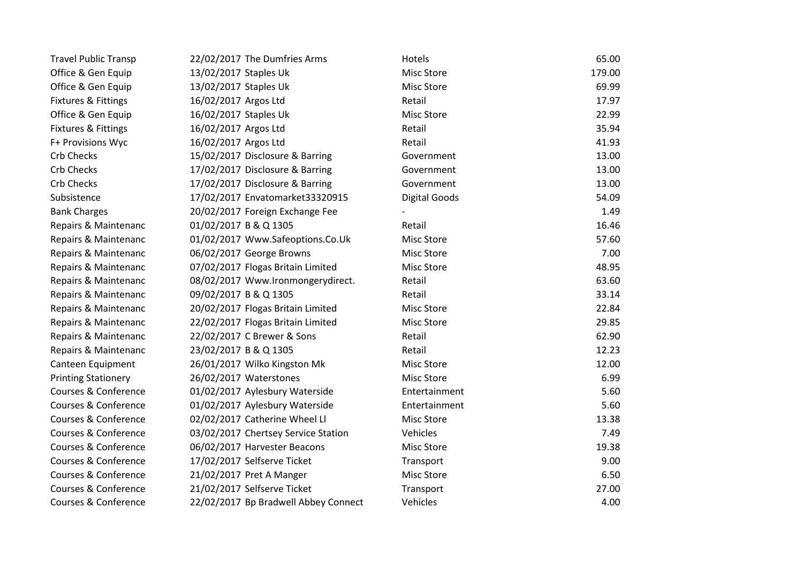| <b>Travel Public Transp</b> | 22/02/2017 The Dumfries Arms         | Hotels               | 65.00  |
|-----------------------------|--------------------------------------|----------------------|--------|
| Office & Gen Equip          | 13/02/2017 Staples Uk                | <b>Misc Store</b>    | 179.00 |
| Office & Gen Equip          | 13/02/2017 Staples Uk                | Misc Store           | 69.99  |
| Fixtures & Fittings         | 16/02/2017 Argos Ltd                 | Retail               | 17.97  |
| Office & Gen Equip          | 16/02/2017 Staples Uk                | <b>Misc Store</b>    | 22.99  |
| Fixtures & Fittings         | 16/02/2017 Argos Ltd                 | Retail               | 35.94  |
| F+ Provisions Wyc           | 16/02/2017 Argos Ltd                 | Retail               | 41.93  |
| <b>Crb Checks</b>           | 15/02/2017 Disclosure & Barring      | Government           | 13.00  |
| <b>Crb Checks</b>           | 17/02/2017 Disclosure & Barring      | Government           | 13.00  |
| <b>Crb Checks</b>           | 17/02/2017 Disclosure & Barring      | Government           | 13.00  |
| Subsistence                 | 17/02/2017 Envatomarket33320915      | <b>Digital Goods</b> | 54.09  |
| <b>Bank Charges</b>         | 20/02/2017 Foreign Exchange Fee      |                      | 1.49   |
| Repairs & Maintenanc        | 01/02/2017 B & Q 1305                | Retail               | 16.46  |
| Repairs & Maintenanc        | 01/02/2017 Www.Safeoptions.Co.Uk     | <b>Misc Store</b>    | 57.60  |
| Repairs & Maintenanc        | 06/02/2017 George Browns             | Misc Store           | 7.00   |
| Repairs & Maintenanc        | 07/02/2017 Flogas Britain Limited    | <b>Misc Store</b>    | 48.95  |
| Repairs & Maintenanc        | 08/02/2017 Www.Ironmongerydirect.    | Retail               | 63.60  |
| Repairs & Maintenanc        | 09/02/2017 B & Q 1305                | Retail               | 33.14  |
| Repairs & Maintenanc        | 20/02/2017 Flogas Britain Limited    | <b>Misc Store</b>    | 22.84  |
| Repairs & Maintenanc        | 22/02/2017 Flogas Britain Limited    | Misc Store           | 29.85  |
| Repairs & Maintenanc        | 22/02/2017 C Brewer & Sons           | Retail               | 62.90  |
| Repairs & Maintenanc        | 23/02/2017 B & Q 1305                | Retail               | 12.23  |
| Canteen Equipment           | 26/01/2017 Wilko Kingston Mk         | <b>Misc Store</b>    | 12.00  |
| <b>Printing Stationery</b>  | 26/02/2017 Waterstones               | <b>Misc Store</b>    | 6.99   |
| Courses & Conference        | 01/02/2017 Aylesbury Waterside       | Entertainment        | 5.60   |
| Courses & Conference        | 01/02/2017 Aylesbury Waterside       | Entertainment        | 5.60   |
| Courses & Conference        | 02/02/2017 Catherine Wheel Ll        | <b>Misc Store</b>    | 13.38  |
| Courses & Conference        | 03/02/2017 Chertsey Service Station  | Vehicles             | 7.49   |
| Courses & Conference        | 06/02/2017 Harvester Beacons         | <b>Misc Store</b>    | 19.38  |
| Courses & Conference        | 17/02/2017 Selfserve Ticket          | Transport            | 9.00   |
| Courses & Conference        | 21/02/2017 Pret A Manger             | Misc Store           | 6.50   |
| Courses & Conference        | 21/02/2017 Selfserve Ticket          | Transport            | 27.00  |
| Courses & Conference        | 22/02/2017 Bp Bradwell Abbey Connect | Vehicles             | 4.00   |